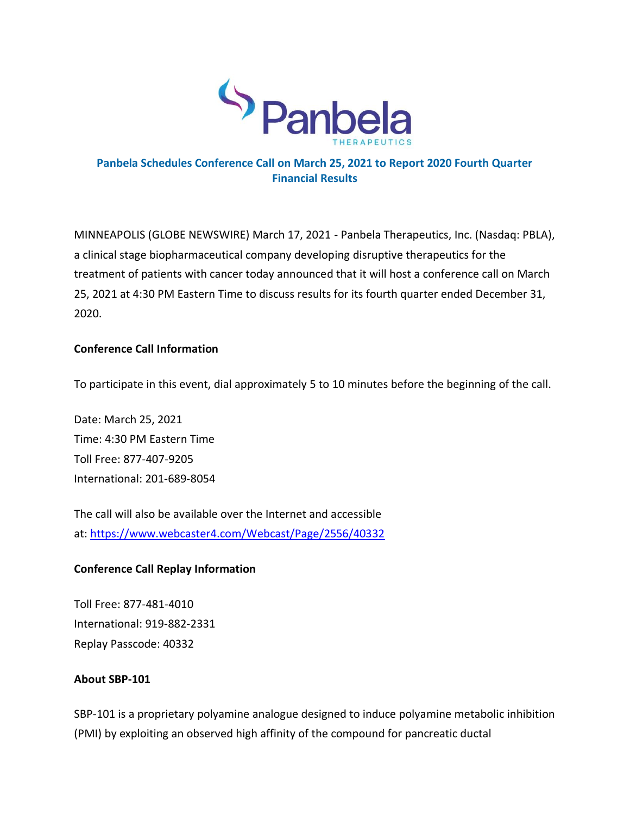

# **Panbela Schedules Conference Call on March 25, 2021 to Report 2020 Fourth Quarter Financial Results**

MINNEAPOLIS (GLOBE NEWSWIRE) March 17, 2021 - Panbela Therapeutics, Inc. (Nasdaq: PBLA), a clinical stage biopharmaceutical company developing disruptive therapeutics for the treatment of patients with cancer today announced that it will host a conference call on March 25, 2021 at 4:30 PM Eastern Time to discuss results for its fourth quarter ended December 31, 2020.

## **Conference Call Information**

To participate in this event, dial approximately 5 to 10 minutes before the beginning of the call.

Date: March 25, 2021 Time: 4:30 PM Eastern Time Toll Free: 877-407-9205 International: 201-689-8054

The call will also be available over the Internet and accessible at: <https://www.webcaster4.com/Webcast/Page/2556/40332>

# **Conference Call Replay Information**

Toll Free: 877-481-4010 International: 919-882-2331 Replay Passcode: 40332

## **About SBP-101**

SBP-101 is a proprietary polyamine analogue designed to induce polyamine metabolic inhibition (PMI) by exploiting an observed high affinity of the compound for pancreatic ductal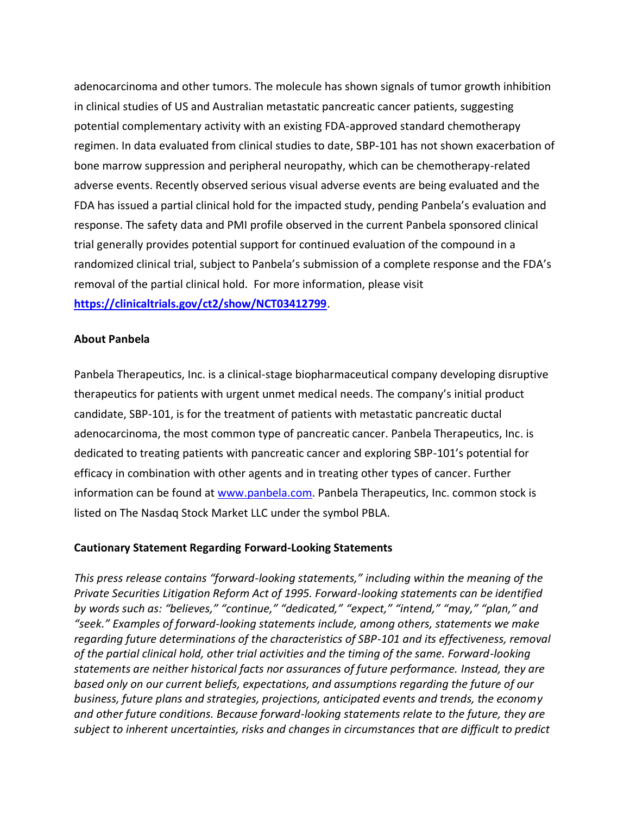adenocarcinoma and other tumors. The molecule has shown signals of tumor growth inhibition in clinical studies of US and Australian metastatic pancreatic cancer patients, suggesting potential complementary activity with an existing FDA-approved standard chemotherapy regimen. In data evaluated from clinical studies to date, SBP-101 has not shown exacerbation of bone marrow suppression and peripheral neuropathy, which can be chemotherapy-related adverse events. Recently observed serious visual adverse events are being evaluated and the FDA has issued a partial clinical hold for the impacted study, pending Panbela's evaluation and response. The safety data and PMI profile observed in the current Panbela sponsored clinical trial generally provides potential support for continued evaluation of the compound in a randomized clinical trial, subject to Panbela's submission of a complete response and the FDA's removal of the partial clinical hold. For more information, please visit **[https://clinicaltrials.gov/ct2/show/NCT03412799](https://www.globenewswire.com/Tracker?data=ggb69aNk_B4yqxRSrDMv-kB4Zx696Lu8xowsdRGjJhc30xjgW2Uo4leKtkmTg-Av2dUjryFPMJ4T8xKVnmLO5-s8aF6GGNnYmH0suCTx2JoQ6oIyzOB2b-KC6Za0lK9pCgK-syLIrNvwobdHSS1cIaky_LrOrHrJsbWtVt3JZZ-WNZus7zg4IZmDIT4y8P_VXMhGwKjcqSfpT9k1nOPpuzErPY9GcmYWwySvQ0ybqKZbs-zBqQ4ddSy-i7dlqP4q3wJbDjtJtIfnNsn3i482etEnXo8DA85LzuHCKJKqooH-TwHmCLPnzbLadGe280BVdFXoRITwxWAtQ1sjiiJYEtI_0yYe_KpCc6E4o7GqywsLayJtQ5KLXnoLilXPRzc9)**.

#### **About Panbela**

Panbela Therapeutics, Inc. is a clinical-stage biopharmaceutical company developing disruptive therapeutics for patients with urgent unmet medical needs. The company's initial product candidate, SBP-101, is for the treatment of patients with metastatic pancreatic ductal adenocarcinoma, the most common type of pancreatic cancer. Panbela Therapeutics, Inc. is dedicated to treating patients with pancreatic cancer and exploring SBP-101's potential for efficacy in combination with other agents and in treating other types of cancer. Further information can be found at [www.panbela.com.](http://www.panbela.com/) Panbela Therapeutics, Inc. common stock is listed on The Nasdaq Stock Market LLC under the symbol PBLA.

#### **Cautionary Statement Regarding Forward-Looking Statements**

*This press release contains "forward-looking statements," including within the meaning of the Private Securities Litigation Reform Act of 1995. Forward-looking statements can be identified by words such as: "believes," "continue," "dedicated," "expect," "intend," "may," "plan," and "seek." Examples of forward-looking statements include, among others, statements we make regarding future determinations of the characteristics of SBP-101 and its effectiveness, removal of the partial clinical hold, other trial activities and the timing of the same. Forward-looking statements are neither historical facts nor assurances of future performance. Instead, they are based only on our current beliefs, expectations, and assumptions regarding the future of our business, future plans and strategies, projections, anticipated events and trends, the economy and other future conditions. Because forward-looking statements relate to the future, they are subject to inherent uncertainties, risks and changes in circumstances that are difficult to predict*